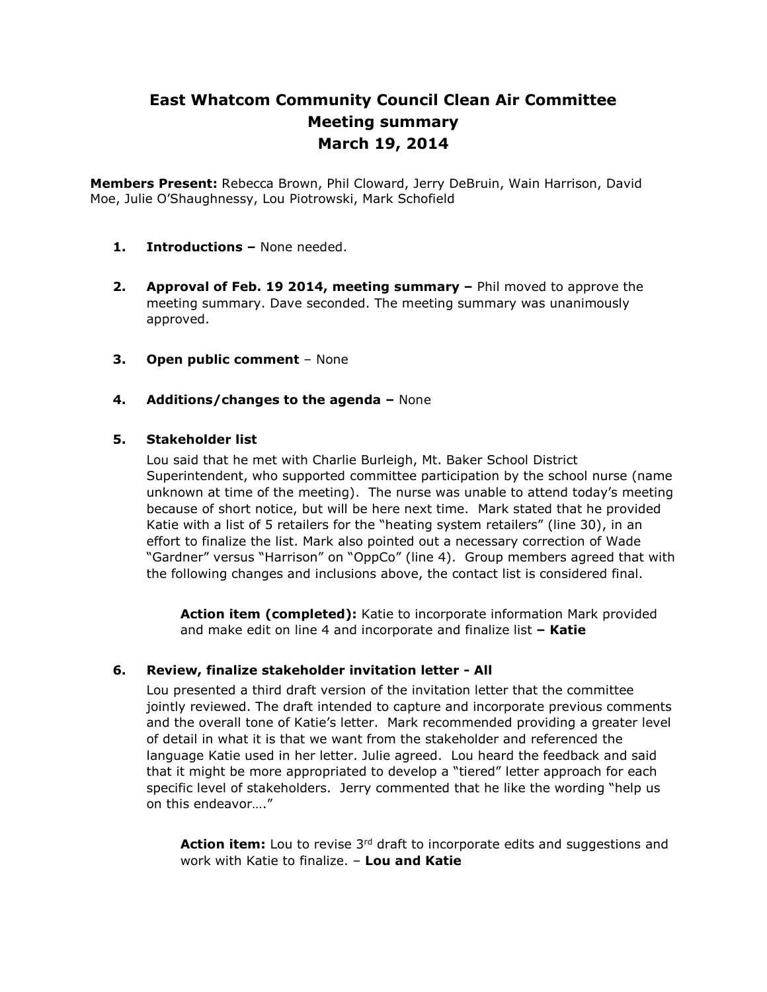# **East Whatcom Community Council Clean Air Committee Meeting summary March 19, 2014**

**Members Present:** Rebecca Brown, Phil Cloward, Jerry DeBruin, Wain Harrison, David Moe, Julie O'Shaughnessy, Lou Piotrowski, Mark Schofield

- **1. Introductions –** None needed.
- **2. Approval of Feb. 19 2014, meeting summary –** Phil moved to approve the meeting summary. Dave seconded. The meeting summary was unanimously approved.
- **3. Open public comment**  None
- **4. Additions/changes to the agenda –** None

### **5. Stakeholder list**

Lou said that he met with Charlie Burleigh, Mt. Baker School District Superintendent, who supported committee participation by the school nurse (name unknown at time of the meeting). The nurse was unable to attend today's meeting because of short notice, but will be here next time. Mark stated that he provided Katie with a list of 5 retailers for the "heating system retailers" (line 30), in an effort to finalize the list. Mark also pointed out a necessary correction of Wade "Gardner" versus "Harrison" on "OppCo" (line 4). Group members agreed that with the following changes and inclusions above, the contact list is considered final.

**Action item (completed):** Katie to incorporate information Mark provided and make edit on line 4 and incorporate and finalize list **– Katie**

### **6. Review, finalize stakeholder invitation letter - All**

Lou presented a third draft version of the invitation letter that the committee jointly reviewed. The draft intended to capture and incorporate previous comments and the overall tone of Katie's letter. Mark recommended providing a greater level of detail in what it is that we want from the stakeholder and referenced the language Katie used in her letter. Julie agreed. Lou heard the feedback and said that it might be more appropriated to develop a "tiered" letter approach for each specific level of stakeholders. Jerry commented that he like the wording "help us on this endeavor…."

**Action item:** Lou to revise 3<sup>rd</sup> draft to incorporate edits and suggestions and work with Katie to finalize. – **Lou and Katie**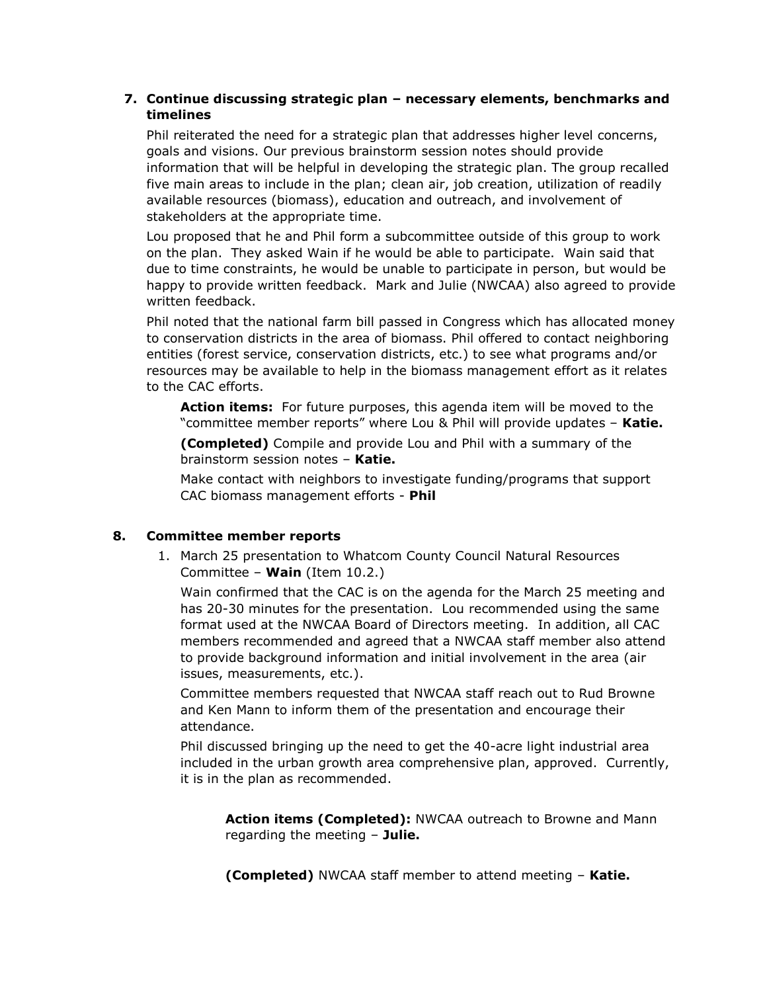### **7. Continue discussing strategic plan – necessary elements, benchmarks and timelines**

Phil reiterated the need for a strategic plan that addresses higher level concerns, goals and visions. Our previous brainstorm session notes should provide information that will be helpful in developing the strategic plan. The group recalled five main areas to include in the plan; clean air, job creation, utilization of readily available resources (biomass), education and outreach, and involvement of stakeholders at the appropriate time.

Lou proposed that he and Phil form a subcommittee outside of this group to work on the plan. They asked Wain if he would be able to participate. Wain said that due to time constraints, he would be unable to participate in person, but would be happy to provide written feedback. Mark and Julie (NWCAA) also agreed to provide written feedback.

Phil noted that the national farm bill passed in Congress which has allocated money to conservation districts in the area of biomass. Phil offered to contact neighboring entities (forest service, conservation districts, etc.) to see what programs and/or resources may be available to help in the biomass management effort as it relates to the CAC efforts.

**Action items:** For future purposes, this agenda item will be moved to the "committee member reports" where Lou & Phil will provide updates – **Katie.** 

**(Completed)** Compile and provide Lou and Phil with a summary of the brainstorm session notes – **Katie.**

Make contact with neighbors to investigate funding/programs that support CAC biomass management efforts - **Phil**

### **8. Committee member reports**

1. March 25 presentation to Whatcom County Council Natural Resources Committee – **Wain** (Item 10.2.)

Wain confirmed that the CAC is on the agenda for the March 25 meeting and has 20-30 minutes for the presentation. Lou recommended using the same format used at the NWCAA Board of Directors meeting. In addition, all CAC members recommended and agreed that a NWCAA staff member also attend to provide background information and initial involvement in the area (air issues, measurements, etc.).

Committee members requested that NWCAA staff reach out to Rud Browne and Ken Mann to inform them of the presentation and encourage their attendance.

Phil discussed bringing up the need to get the 40-acre light industrial area included in the urban growth area comprehensive plan, approved. Currently, it is in the plan as recommended.

**Action items (Completed):** NWCAA outreach to Browne and Mann regarding the meeting – **Julie.** 

**(Completed)** NWCAA staff member to attend meeting – **Katie.**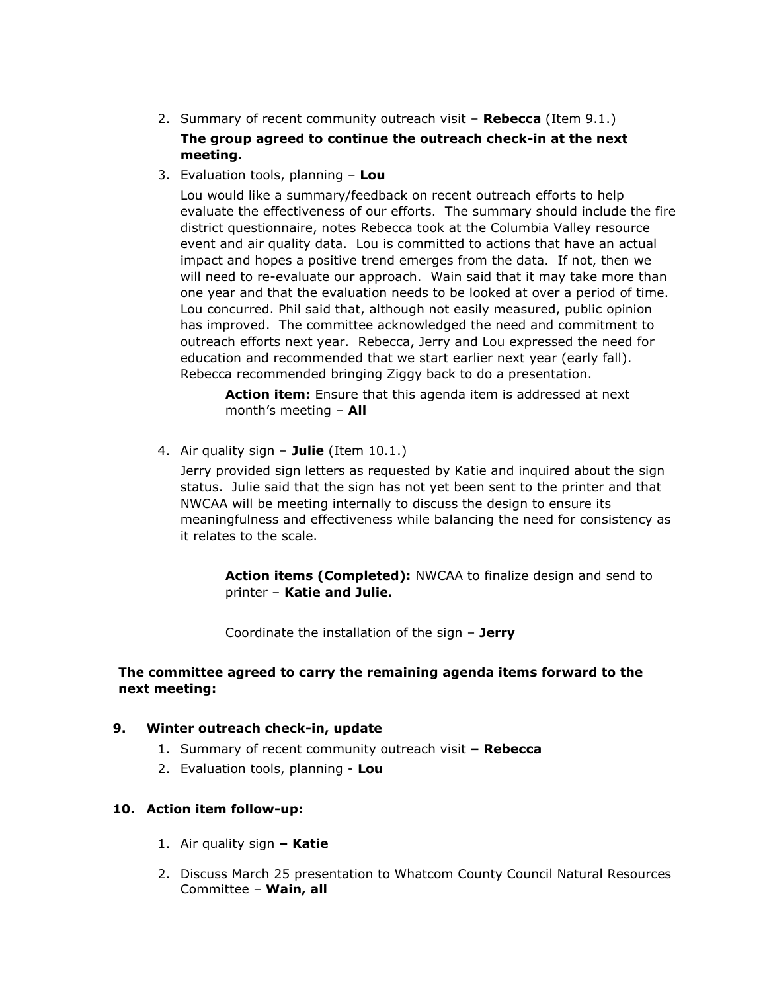2. Summary of recent community outreach visit – **Rebecca** (Item 9.1.)

# **The group agreed to continue the outreach check-in at the next meeting.**

3. Evaluation tools, planning – **Lou**

Lou would like a summary/feedback on recent outreach efforts to help evaluate the effectiveness of our efforts. The summary should include the fire district questionnaire, notes Rebecca took at the Columbia Valley resource event and air quality data. Lou is committed to actions that have an actual impact and hopes a positive trend emerges from the data. If not, then we will need to re-evaluate our approach. Wain said that it may take more than one year and that the evaluation needs to be looked at over a period of time. Lou concurred. Phil said that, although not easily measured, public opinion has improved. The committee acknowledged the need and commitment to outreach efforts next year. Rebecca, Jerry and Lou expressed the need for education and recommended that we start earlier next year (early fall). Rebecca recommended bringing Ziggy back to do a presentation.

**Action item:** Ensure that this agenda item is addressed at next month's meeting – **All**

4. Air quality sign – **Julie** (Item 10.1.)

Jerry provided sign letters as requested by Katie and inquired about the sign status. Julie said that the sign has not yet been sent to the printer and that NWCAA will be meeting internally to discuss the design to ensure its meaningfulness and effectiveness while balancing the need for consistency as it relates to the scale.

**Action items (Completed):** NWCAA to finalize design and send to printer – **Katie and Julie.** 

Coordinate the installation of the sign – **Jerry**

### **The committee agreed to carry the remaining agenda items forward to the next meeting:**

### **9. Winter outreach check-in, update**

- 1. Summary of recent community outreach visit **– Rebecca**
- 2. Evaluation tools, planning **Lou**

## **10. Action item follow-up:**

- 1. Air quality sign **– Katie**
- 2. Discuss March 25 presentation to Whatcom County Council Natural Resources Committee – **Wain, all**